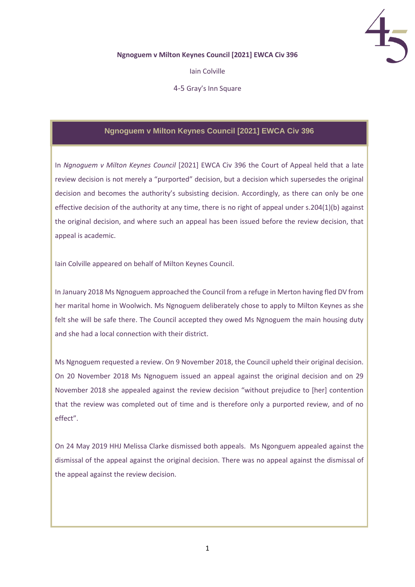

## **Ngnoguem v Milton Keynes Council [2021] EWCA Civ 396**

Iain Colville

4-5 Gray's Inn Square

## **Ngnoguem v Milton Keynes Council [2021] EWCA Civ 396**

In *Ngnoguem v Milton Keynes Council* [2021] EWCA Civ 396 the Court of Appeal held that a late review decision is not merely a "purported" decision, but a decision which supersedes the original decision and becomes the authority's subsisting decision. Accordingly, as there can only be one effective decision of the authority at any time, there is no right of appeal under s.204(1)(b) against the original decision, and where such an appeal has been issued before the review decision, that appeal is academic.

Iain Colville appeared on behalf of Milton Keynes Council.

In January 2018 Ms Ngnoguem approached the Council from a refuge in Merton having fled DV from her marital home in Woolwich. Ms Ngnoguem deliberately chose to apply to Milton Keynes as she felt she will be safe there. The Council accepted they owed Ms Ngnoguem the main housing duty and she had a local connection with their district.

Ms Ngnoguem requested a review. On 9 November 2018, the Council upheld their original decision. On 20 November 2018 Ms Ngnoguem issued an appeal against the original decision and on 29 November 2018 she appealed against the review decision "without prejudice to [her] contention that the review was completed out of time and is therefore only a purported review, and of no effect".

On 24 May 2019 HHJ Melissa Clarke dismissed both appeals. Ms Ngonguem appealed against the dismissal of the appeal against the original decision. There was no appeal against the dismissal of the appeal against the review decision.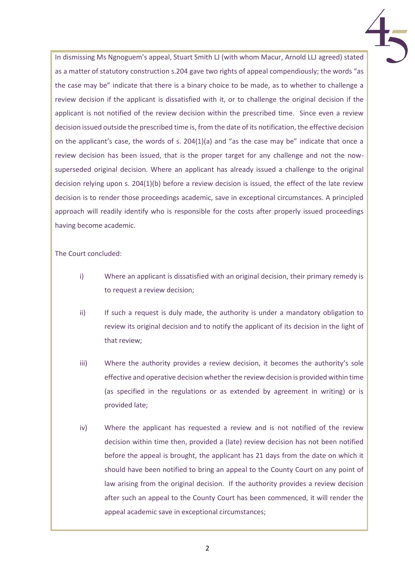In dismissing Ms Ngnoguem's appeal, Stuart Smith LJ (with whom Macur, Arnold LLJ agreed) stated as a matter of statutory construction s.204 gave two rights of appeal compendiously; the words "as the case may be" indicate that there is a binary choice to be made, as to whether to challenge a review decision if the applicant is dissatisfied with it, or to challenge the original decision if the applicant is not notified of the review decision within the prescribed time. Since even a review decision issued outside the prescribed time is, from the date of its notification, the effective decision on the applicant's case, the words of s. 204(1)(a) and "as the case may be" indicate that once a review decision has been issued, that is the proper target for any challenge and not the nowsuperseded original decision. Where an applicant has already issued a challenge to the original decision relying upon s. 204(1)(b) before a review decision is issued, the effect of the late review decision is to render those proceedings academic, save in exceptional circumstances. A principled approach will readily identify who is responsible for the costs after properly issued proceedings having become academic.

The Court concluded:

- i) Where an applicant is dissatisfied with an original decision, their primary remedy is to request a review decision;
- ii) If such a request is duly made, the authority is under a mandatory obligation to review its original decision and to notify the applicant of its decision in the light of that review;
- iii) Where the authority provides a review decision, it becomes the authority's sole effective and operative decision whether the review decision is provided within time (as specified in the regulations or as extended by agreement in writing) or is provided late;
- iv) Where the applicant has requested a review and is not notified of the review decision within time then, provided a (late) review decision has not been notified before the appeal is brought, the applicant has 21 days from the date on which it should have been notified to bring an appeal to the County Court on any point of law arising from the original decision. If the authority provides a review decision after such an appeal to the County Court has been commenced, it will render the appeal academic save in exceptional circumstances;